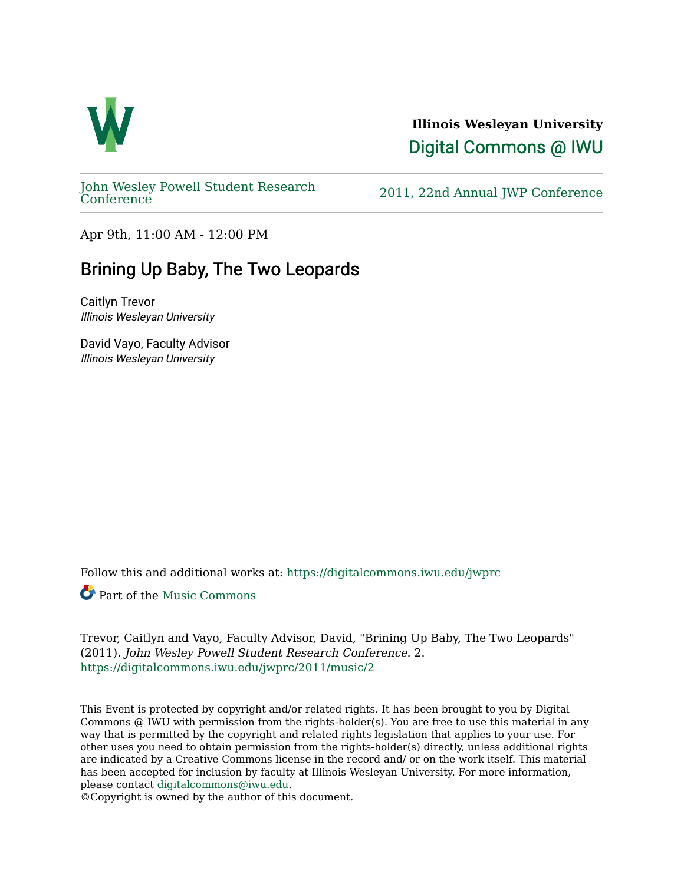

**Illinois Wesleyan University**  [Digital Commons @ IWU](https://digitalcommons.iwu.edu/) 

[John Wesley Powell Student Research](https://digitalcommons.iwu.edu/jwprc) 

2011, 22nd Annual JWP [Conference](https://digitalcommons.iwu.edu/jwprc)

Apr 9th, 11:00 AM - 12:00 PM

## Brining Up Baby, The Two Leopards

Caitlyn Trevor Illinois Wesleyan University

David Vayo, Faculty Advisor Illinois Wesleyan University

Follow this and additional works at: [https://digitalcommons.iwu.edu/jwprc](https://digitalcommons.iwu.edu/jwprc?utm_source=digitalcommons.iwu.edu%2Fjwprc%2F2011%2Fmusic%2F2&utm_medium=PDF&utm_campaign=PDFCoverPages) 

Part of the [Music Commons](http://network.bepress.com/hgg/discipline/518?utm_source=digitalcommons.iwu.edu%2Fjwprc%2F2011%2Fmusic%2F2&utm_medium=PDF&utm_campaign=PDFCoverPages)

Trevor, Caitlyn and Vayo, Faculty Advisor, David, "Brining Up Baby, The Two Leopards" (2011). John Wesley Powell Student Research Conference. 2. [https://digitalcommons.iwu.edu/jwprc/2011/music/2](https://digitalcommons.iwu.edu/jwprc/2011/music/2?utm_source=digitalcommons.iwu.edu%2Fjwprc%2F2011%2Fmusic%2F2&utm_medium=PDF&utm_campaign=PDFCoverPages) 

This Event is protected by copyright and/or related rights. It has been brought to you by Digital Commons @ IWU with permission from the rights-holder(s). You are free to use this material in any way that is permitted by the copyright and related rights legislation that applies to your use. For other uses you need to obtain permission from the rights-holder(s) directly, unless additional rights are indicated by a Creative Commons license in the record and/ or on the work itself. This material has been accepted for inclusion by faculty at Illinois Wesleyan University. For more information, please contact [digitalcommons@iwu.edu.](mailto:digitalcommons@iwu.edu)

©Copyright is owned by the author of this document.